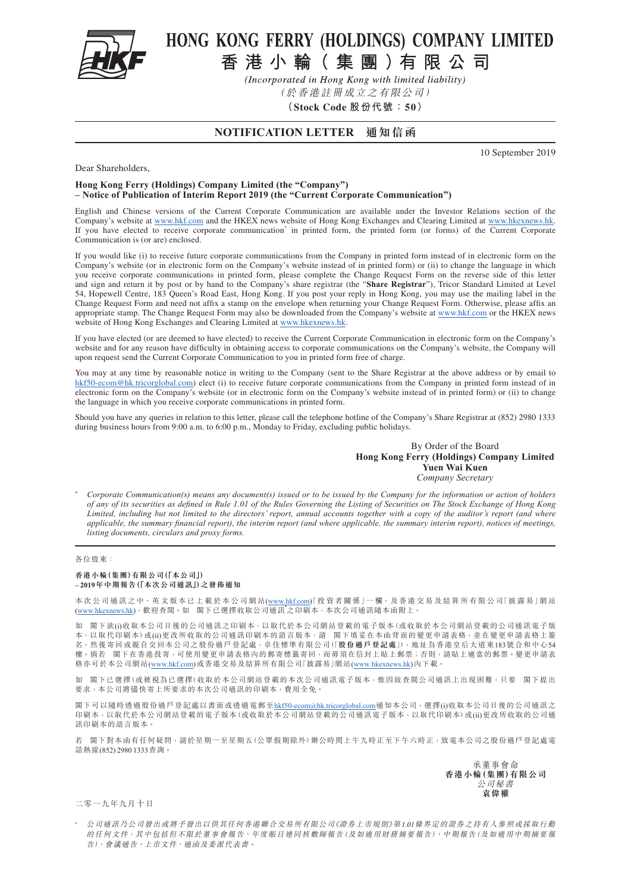

# HONG KONG FERRY (HOLDINGS) COMPANY LIMITED

香港小輪(集團)有限公司

(Incorporated in Hong Kong with limited liability)

(於香港註冊成立之有限公司)

**(Stock Code 股份代號:50)**

## **NOTIFICATION LETTER 通知信函**

10 September 2019

Dear Shareholders,

### **Hong Kong Ferry (Holdings) Company Limited (the "Company") – Notice of Publication of Interim Report 2019 (the "Current Corporate Communication")**

English and Chinese versions of the Current Corporate Communication are available under the Investor Relations section of the Company's website at [www.hkf.com](http://www.hkf.com/en/) and the HKEX news website of Hong Kong Exchanges and Clearing Limited at <www.hkexnews.hk>. If you have elected to receive corporate communication<sup>\*</sup> in printed form, the printed form (or forms) of the Current Corporate Communication is (or are) enclosed.

If you would like (i) to receive future corporate communications from the Company in printed form instead of in electronic form on the Company's website (or in electronic form on the Company's website instead of in printed form) or (ii) to change the language in which you receive corporate communications in printed form, please complete the Change Request Form on the reverse side of this letter and sign and return it by post or by hand to the Company's share registrar (the "**Share Registrar**"), Tricor Standard Limited at Level 54, Hopewell Centre, 183 Queen's Road East, Hong Kong. If you post your reply in Hong Kong, you may use the mailing label in the Change Request Form and need not affix a stamp on the envelope when returning your Change Request Form. Otherwise, please affix an appropriate stamp. The Change Request Form may also be downloaded from the Company's website at [www.hkf.com](http://www.hkf.com/en/) or the HKEX news website of Hong Kong Exchanges and Clearing Limited at <www.hkexnews.hk>.

If you have elected (or are deemed to have elected) to receive the Current Corporate Communication in electronic form on the Company's website and for any reason have difficulty in obtaining access to corporate communications on the Company's website, the Company will upon request send the Current Corporate Communication to you in printed form free of charge.

You may at any time by reasonable notice in writing to the Company (sent to the Share Registrar at the above address or by email to [hkf50-ecom@hk.tricorglobal.com](mailto:hkf50-ecom%40hk.tricorglobal.com?subject=)) elect (i) to receive future corporate communications from the Company in printed form instead of in electronic form on the Company's website (or in electronic form on the Company's website instead of in printed form) or (ii) to change the language in which you receive corporate communications in printed form.

Should you have any queries in relation to this letter, please call the telephone hotline of the Company's Share Registrar at (852) 2980 1333 during business hours from 9:00 a.m. to 6:00 p.m., Monday to Friday, excluding public holidays.

#### By Order of the Board **Hong Kong Ferry (Holdings) Company Limited Yuen Wai Kuen** *Company Secretary*

\* *Corporate Communication(s) means any document(s) issued or to be issued by the Company for the information or action of holders of any of its securities as defined in Rule 1.01 of the Rules Governing the Listing of Securities on The Stock Exchange of Hong Kong Limited, including but not limited to the directors' report, annual accounts together with a copy of the auditor's report (and where applicable, the summary financial report), the interim report (and where applicable, the summary interim report), notices of meetings, listing documents, circulars and proxy forms.*

#### 各位股東:

#### **香港小輪(集團)有限公司(「本公司」) – 2019年中期報告(「本次公司通訊」)之發佈通知**

本次公司通訊之中、英文版本已上載於本公司網站[\(www.hkf.com](www.hkf.com))「投資者關係」一欄,及香港交易及結算所有限公司「披露易」網站<br>[\(www.hkexnews.hk\)](https://www.hkexnews.hk/index_c.htm),歡迎查閱。如 閣下已選擇收取公司通訊\*之印刷本,本次公司通訊隨本函附上。

如 閣下欲(i)收取本公司日後的公司通訊之印刷本,以取代於本公司網站登載的電子版本(或收取於本公司網站登載的公司通訊電子版 本,以取代印刷本)或(ii)更改所收取的公司通訊印刷本的語言版本,請 閣下填妥在本函背面的變更申請表格,並在變更申請表格上簽 名,然後寄回或親自交回本公司之股份過戶登記處,卓佳標準有限公司(「**股份過戶登記處**」),地址為香港皇后大道東183號合和中心54 樓。倘若 閣下在香港投寄,可使用變更申請表格內的郵寄標籤寄回,而毋須在信封上貼上郵票;否則,請貼上適當的郵票。變更申請表 格亦可於本公司網站[\(www.hkf.com\)](www.hkf.com)或香港交易及結算所有限公司「披露易」網站([www.hkexnews.hk\)](https://www.hkexnews.hk/index_c.htm)內下載。

如 閣下已選擇(或被視為已選擇)收取於本公司網站登載的本次公司通訊電子版本,惟因故查閲公司通訊上出現困難,只要 閣下提出 要求,本公司將儘快寄上所要求的本次公司通訊的印刷本,費用全免。

閣下可以隨時透過股份過戶登記處以書面或透過電郵至[hkf50-ecom@hk.tricorglobal.com](mailto:hkf50-ecom%40hk.tricorglobal.com?subject=) 通知本公司,選擇(i)收取本公司日後的公司通訊之 印刷本,以取代於本公司網站登載的電子版本(或收取於本公司網站登載的公司通訊電子版本,以取代印刷本)或(ii)更改所收取的公司通 訊印刷本的語言版本。

若 閣下對本函有任何疑問,請於星期一至星期五(公眾假期除外)辦公時間上午九時正至下午六時正,致電本公司之股份過戶登記處電 話熱線(852) 2980 1333查詢。

> 承董事會命 **香港小輪(集團)有限公司** 公司秘書 **袁偉權**

二零一九年九月十日

\* 公司通訊乃公司發出或將予發出以供其任何香港聯合交易所有限公司《證券上市規則》第1.01條界定的證券之持有人參照或採取行動 的任何文件,其中包括但不限於董事會報告、年度賬目連同核數師報告(及如適用財務摘要報告)、中期報告(及如適用中期摘要報 告)、會議通告、上市文件、通函及委派代表書。